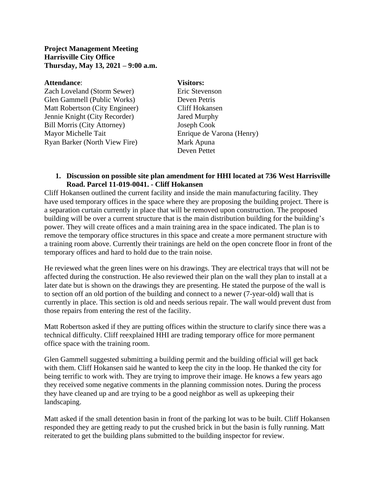#### **Project Management Meeting Harrisville City Office Thursday, May 13, 2021 – 9:00 a.m.**

#### **Attendance**: **Visitors:**

Zach Loveland (Storm Sewer) Eric Stevenson Glen Gammell (Public Works) Deven Petris Matt Robertson (City Engineer) Cliff Hokansen Jennie Knight (City Recorder) Jared Murphy Bill Morris (City Attorney) Joseph Cook Mayor Michelle Tait Enrique de Varona (Henry) Ryan Barker (North View Fire) Mark Apuna

Deven Pettet

#### **1. Discussion on possible site plan amendment for HHI located at 736 West Harrisville Road. Parcel 11-019-0041. - Cliff Hokansen**

Cliff Hokansen outlined the current facility and inside the main manufacturing facility. They have used temporary offices in the space where they are proposing the building project. There is a separation curtain currently in place that will be removed upon construction. The proposed building will be over a current structure that is the main distribution building for the building's power. They will create offices and a main training area in the space indicated. The plan is to remove the temporary office structures in this space and create a more permanent structure with a training room above. Currently their trainings are held on the open concrete floor in front of the temporary offices and hard to hold due to the train noise.

He reviewed what the green lines were on his drawings. They are electrical trays that will not be affected during the construction. He also reviewed their plan on the wall they plan to install at a later date but is shown on the drawings they are presenting. He stated the purpose of the wall is to section off an old portion of the building and connect to a newer (7-year-old) wall that is currently in place. This section is old and needs serious repair. The wall would prevent dust from those repairs from entering the rest of the facility.

Matt Robertson asked if they are putting offices within the structure to clarify since there was a technical difficulty. Cliff reexplained HHI are trading temporary office for more permanent office space with the training room.

Glen Gammell suggested submitting a building permit and the building official will get back with them. Cliff Hokansen said he wanted to keep the city in the loop. He thanked the city for being terrific to work with. They are trying to improve their image. He knows a few years ago they received some negative comments in the planning commission notes. During the process they have cleaned up and are trying to be a good neighbor as well as upkeeping their landscaping.

Matt asked if the small detention basin in front of the parking lot was to be built. Cliff Hokansen responded they are getting ready to put the crushed brick in but the basin is fully running. Matt reiterated to get the building plans submitted to the building inspector for review.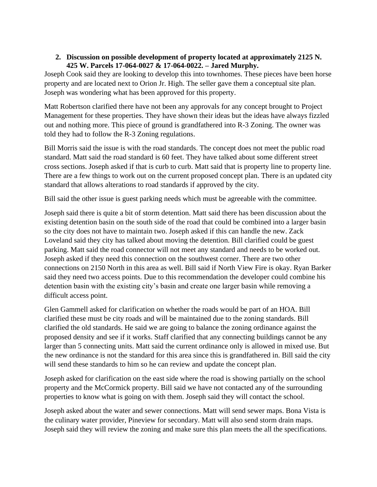# **2. Discussion on possible development of property located at approximately 2125 N. 425 W. Parcels 17-064-0027 & 17-064-0022. – Jared Murphy.**

Joseph Cook said they are looking to develop this into townhomes. These pieces have been horse property and are located next to Orion Jr. High. The seller gave them a conceptual site plan. Joseph was wondering what has been approved for this property.

Matt Robertson clarified there have not been any approvals for any concept brought to Project Management for these properties. They have shown their ideas but the ideas have always fizzled out and nothing more. This piece of ground is grandfathered into R-3 Zoning. The owner was told they had to follow the R-3 Zoning regulations.

Bill Morris said the issue is with the road standards. The concept does not meet the public road standard. Matt said the road standard is 60 feet. They have talked about some different street cross sections. Joseph asked if that is curb to curb. Matt said that is property line to property line. There are a few things to work out on the current proposed concept plan. There is an updated city standard that allows alterations to road standards if approved by the city.

Bill said the other issue is guest parking needs which must be agreeable with the committee.

Joseph said there is quite a bit of storm detention. Matt said there has been discussion about the existing detention basin on the south side of the road that could be combined into a larger basin so the city does not have to maintain two. Joseph asked if this can handle the new. Zack Loveland said they city has talked about moving the detention. Bill clarified could be guest parking. Matt said the road connector will not meet any standard and needs to be worked out. Joseph asked if they need this connection on the southwest corner. There are two other connections on 2150 North in this area as well. Bill said if North View Fire is okay. Ryan Barker said they need two access points. Due to this recommendation the developer could combine his detention basin with the existing city's basin and create one larger basin while removing a difficult access point.

Glen Gammell asked for clarification on whether the roads would be part of an HOA. Bill clarified these must be city roads and will be maintained due to the zoning standards. Bill clarified the old standards. He said we are going to balance the zoning ordinance against the proposed density and see if it works. Staff clarified that any connecting buildings cannot be any larger than 5 connecting units. Matt said the current ordinance only is allowed in mixed use. But the new ordinance is not the standard for this area since this is grandfathered in. Bill said the city will send these standards to him so he can review and update the concept plan.

Joseph asked for clarification on the east side where the road is showing partially on the school property and the McCormick property. Bill said we have not contacted any of the surrounding properties to know what is going on with them. Joseph said they will contact the school.

Joseph asked about the water and sewer connections. Matt will send sewer maps. Bona Vista is the culinary water provider, Pineview for secondary. Matt will also send storm drain maps. Joseph said they will review the zoning and make sure this plan meets the all the specifications.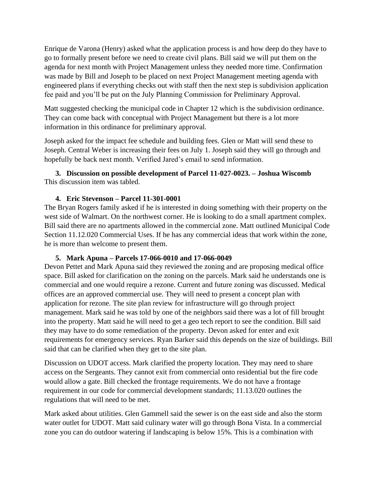Enrique de Varona (Henry) asked what the application process is and how deep do they have to go to formally present before we need to create civil plans. Bill said we will put them on the agenda for next month with Project Management unless they needed more time. Confirmation was made by Bill and Joseph to be placed on next Project Management meeting agenda with engineered plans if everything checks out with staff then the next step is subdivision application fee paid and you'll be put on the July Planning Commission for Preliminary Approval.

Matt suggested checking the municipal code in Chapter 12 which is the subdivision ordinance. They can come back with conceptual with Project Management but there is a lot more information in this ordinance for preliminary approval.

Joseph asked for the impact fee schedule and building fees. Glen or Matt will send these to Joseph. Central Weber is increasing their fees on July 1. Joseph said they will go through and hopefully be back next month. Verified Jared's email to send information.

**3. Discussion on possible development of Parcel 11-027-0023. – Joshua Wiscomb** This discussion item was tabled.

# **4. Eric Stevenson – Parcel 11-301-0001**

The Bryan Rogers family asked if he is interested in doing something with their property on the west side of Walmart. On the northwest corner. He is looking to do a small apartment complex. Bill said there are no apartments allowed in the commercial zone. Matt outlined Municipal Code Section 11.12.020 Commercial Uses. If he has any commercial ideas that work within the zone, he is more than welcome to present them.

# **5. Mark Apuna – Parcels 17-066-0010 and 17-066-0049**

Devon Pettet and Mark Apuna said they reviewed the zoning and are proposing medical office space. Bill asked for clarification on the zoning on the parcels. Mark said he understands one is commercial and one would require a rezone. Current and future zoning was discussed. Medical offices are an approved commercial use. They will need to present a concept plan with application for rezone. The site plan review for infrastructure will go through project management. Mark said he was told by one of the neighbors said there was a lot of fill brought into the property. Matt said he will need to get a geo tech report to see the condition. Bill said they may have to do some remediation of the property. Devon asked for enter and exit requirements for emergency services. Ryan Barker said this depends on the size of buildings. Bill said that can be clarified when they get to the site plan.

Discussion on UDOT access. Mark clarified the property location. They may need to share access on the Sergeants. They cannot exit from commercial onto residential but the fire code would allow a gate. Bill checked the frontage requirements. We do not have a frontage requirement in our code for commercial development standards; 11.13.020 outlines the regulations that will need to be met.

Mark asked about utilities. Glen Gammell said the sewer is on the east side and also the storm water outlet for UDOT. Matt said culinary water will go through Bona Vista. In a commercial zone you can do outdoor watering if landscaping is below 15%. This is a combination with